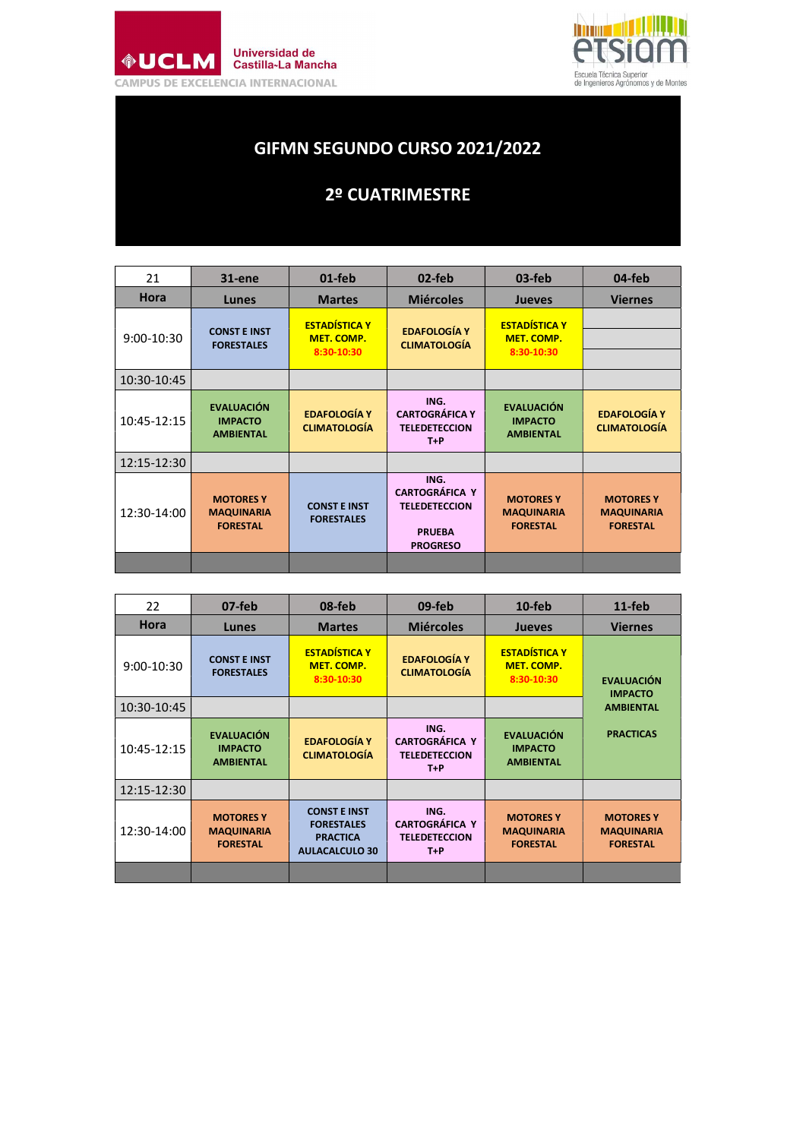



## GIFMN SEGUNDO CURSO 2021/2022

## 2º CUATRIMESTRE

| 21          | 31-ene                                                   | $01$ -feb                                               | 02-feb                                                                                    | $03$ -feb                                                | 04-feb                                                   |
|-------------|----------------------------------------------------------|---------------------------------------------------------|-------------------------------------------------------------------------------------------|----------------------------------------------------------|----------------------------------------------------------|
| Hora        | <b>Lunes</b>                                             | <b>Martes</b>                                           | <b>Miércoles</b>                                                                          | <b>Jueves</b>                                            | <b>Viernes</b>                                           |
| 9:00-10:30  | <b>CONST F INST</b><br><b>FORESTALES</b>                 | <b>ESTADÍSTICA Y</b><br><b>MET. COMP.</b><br>8:30-10:30 | <b>EDAFOLOGÍA Y</b><br><b>CLIMATOLOGÍA</b>                                                | <b>ESTADÍSTICA Y</b><br>MET. COMP.<br>8:30-10:30         |                                                          |
| 10:30-10:45 |                                                          |                                                         |                                                                                           |                                                          |                                                          |
| 10:45-12:15 | <b>EVALUACIÓN</b><br><b>IMPACTO</b><br><b>AMBIENTAL</b>  | <b>EDAFOLOGÍA Y</b><br><b>CLIMATOLOGÍA</b>              | ING.<br><b>CARTOGRÁFICA Y</b><br><b>TELEDETECCION</b><br>$T + P$                          | <b>EVALUACIÓN</b><br><b>IMPACTO</b><br><b>AMBIENTAL</b>  | <b>EDAFOLOGÍA Y</b><br><b>CLIMATOLOGÍA</b>               |
| 12:15-12:30 |                                                          |                                                         |                                                                                           |                                                          |                                                          |
| 12:30-14:00 | <b>MOTORES Y</b><br><b>MAQUINARIA</b><br><b>FORESTAL</b> | <b>CONST E INST</b><br><b>FORESTALES</b>                | ING.<br><b>CARTOGRÁFICA Y</b><br><b>TELEDETECCION</b><br><b>PRUEBA</b><br><b>PROGRESO</b> | <b>MOTORES Y</b><br><b>MAQUINARIA</b><br><b>FORESTAL</b> | <b>MOTORES Y</b><br><b>MAQUINARIA</b><br><b>FORESTAL</b> |
|             |                                                          |                                                         |                                                                                           |                                                          |                                                          |

| 22           | $07$ -feb                                                | 08-feb                                                                               | 09-feb                                                         | 10-feb                                                   | $11$ -feb                                                |
|--------------|----------------------------------------------------------|--------------------------------------------------------------------------------------|----------------------------------------------------------------|----------------------------------------------------------|----------------------------------------------------------|
| Hora         | <b>Lunes</b>                                             | <b>Martes</b>                                                                        | <b>Miércoles</b>                                               | <b>Jueves</b>                                            | <b>Viernes</b>                                           |
| $9:00-10:30$ | <b>CONST E INST</b><br><b>FORESTALES</b>                 | <b>ESTADÍSTICA Y</b><br><b>MET. COMP.</b><br>8:30-10:30                              | <b>EDAFOLOGÍA Y</b><br><b>CLIMATOLOGÍA</b>                     | <b>ESTADÍSTICA Y</b><br>MET. COMP.<br>8:30-10:30         | <b>EVALUACIÓN</b><br><b>IMPACTO</b>                      |
| 10:30-10:45  |                                                          |                                                                                      |                                                                |                                                          | <b>AMBIENTAL</b>                                         |
| 10:45-12:15  | <b>EVALUACIÓN</b><br><b>IMPACTO</b><br><b>AMBIENTAL</b>  | <b>EDAFOLOGÍA Y</b><br><b>CLIMATOLOGÍA</b>                                           | ING.<br><b>CARTOGRÁFICA Y</b><br><b>TELEDETECCION</b><br>$T+P$ | <b>EVALUACIÓN</b><br><b>IMPACTO</b><br><b>AMBIENTAL</b>  | <b>PRACTICAS</b>                                         |
| 12:15-12:30  |                                                          |                                                                                      |                                                                |                                                          |                                                          |
| 12:30-14:00  | <b>MOTORES Y</b><br><b>MAQUINARIA</b><br><b>FORESTAL</b> | <b>CONST E INST</b><br><b>FORESTALES</b><br><b>PRACTICA</b><br><b>AULACALCULO 30</b> | ING.<br><b>CARTOGRÁFICA Y</b><br><b>TELEDETECCION</b><br>$T+P$ | <b>MOTORES Y</b><br><b>MAQUINARIA</b><br><b>FORESTAL</b> | <b>MOTORES Y</b><br><b>MAQUINARIA</b><br><b>FORESTAL</b> |
|              |                                                          |                                                                                      |                                                                |                                                          |                                                          |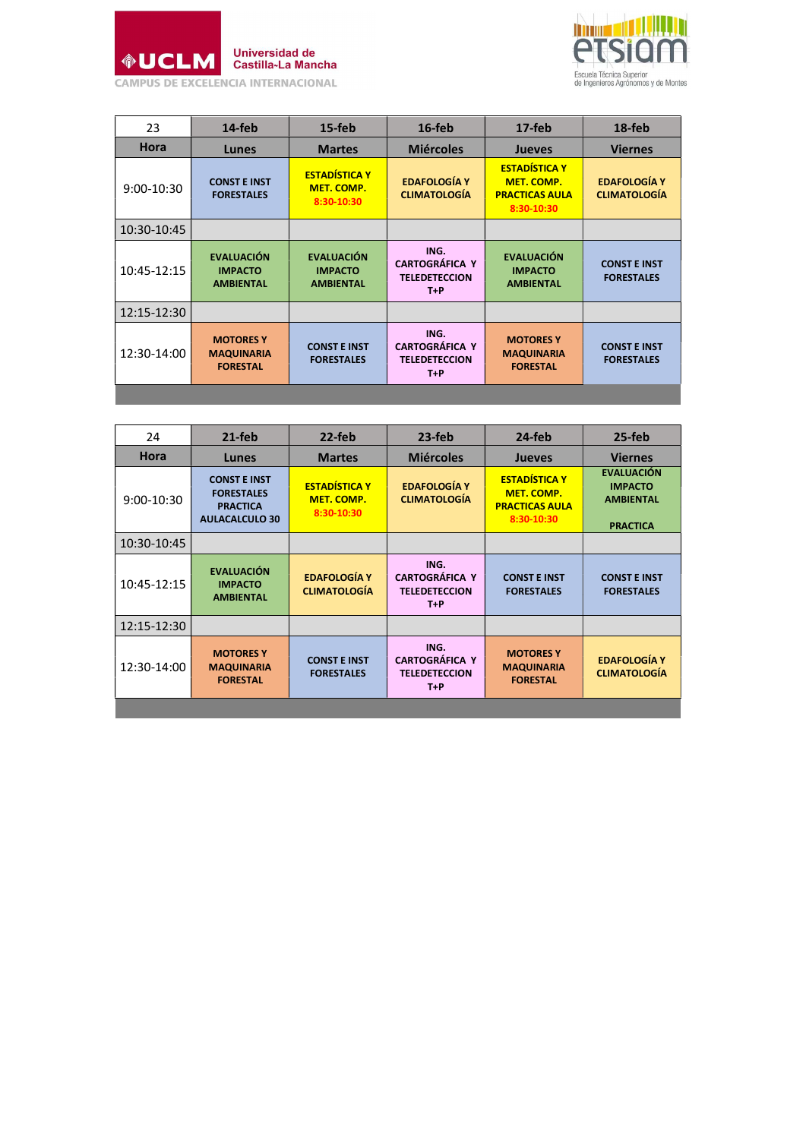



| 23          | $14$ -feb                                                | $15$ -feb                                               | $16$ -feb                                                      | $17$ -feb                                                                 | 18-feb                                     |
|-------------|----------------------------------------------------------|---------------------------------------------------------|----------------------------------------------------------------|---------------------------------------------------------------------------|--------------------------------------------|
| Hora        | Lunes                                                    | <b>Martes</b>                                           | <b>Miércoles</b>                                               | <b>Jueves</b>                                                             | <b>Viernes</b>                             |
| 9:00-10:30  | <b>CONST E INST</b><br><b>FORESTALES</b>                 | <b>ESTADÍSTICA Y</b><br><b>MET. COMP.</b><br>8:30-10:30 | <b>EDAFOLOGÍA Y</b><br><b>CLIMATOLOGÍA</b>                     | <b>ESTADÍSTICA Y</b><br>MET. COMP.<br><b>PRACTICAS AULA</b><br>8:30-10:30 | <b>EDAFOLOGÍA Y</b><br><b>CLIMATOLOGÍA</b> |
| 10:30-10:45 |                                                          |                                                         |                                                                |                                                                           |                                            |
| 10:45-12:15 | <b>EVALUACIÓN</b><br><b>IMPACTO</b><br><b>AMBIENTAL</b>  | <b>EVALUACIÓN</b><br><b>IMPACTO</b><br><b>AMBIENTAL</b> | ING.<br><b>CARTOGRÁFICA Y</b><br><b>TELEDETECCION</b><br>$T+P$ | <b>EVALUACIÓN</b><br><b>IMPACTO</b><br><b>AMBIENTAL</b>                   | <b>CONST E INST</b><br><b>FORESTALES</b>   |
| 12:15-12:30 |                                                          |                                                         |                                                                |                                                                           |                                            |
| 12:30-14:00 | <b>MOTORES Y</b><br><b>MAQUINARIA</b><br><b>FORESTAL</b> | <b>CONST E INST</b><br><b>FORESTALES</b>                | ING.<br><b>CARTOGRÁFICA Y</b><br><b>TELEDETECCION</b><br>$T+P$ | <b>MOTORES Y</b><br><b>MAQUINARIA</b><br><b>FORESTAL</b>                  | <b>CONST E INST</b><br><b>FORESTALES</b>   |
|             |                                                          |                                                         |                                                                |                                                                           |                                            |

| 24           | $21-feb$                                                                             | 22-feb                                                  | $23-feb$                                                       | 24-feb                                                                           | $25-feb$                                                                   |
|--------------|--------------------------------------------------------------------------------------|---------------------------------------------------------|----------------------------------------------------------------|----------------------------------------------------------------------------------|----------------------------------------------------------------------------|
| <b>Hora</b>  | Lunes                                                                                | <b>Martes</b>                                           | <b>Miércoles</b>                                               | <b>Jueves</b>                                                                    | <b>Viernes</b>                                                             |
| $9:00-10:30$ | <b>CONST E INST</b><br><b>FORESTALES</b><br><b>PRACTICA</b><br><b>AULACALCULO 30</b> | <b>FSTADÍSTICA Y</b><br><b>MET. COMP.</b><br>8:30-10:30 | <b>EDAFOLOGÍA Y</b><br><b>CLIMATOLOGÍA</b>                     | <b>ESTADÍSTICA Y</b><br><b>MET. COMP.</b><br><b>PRACTICAS AULA</b><br>8:30-10:30 | <b>EVALUACIÓN</b><br><b>IMPACTO</b><br><b>AMBIENTAL</b><br><b>PRACTICA</b> |
| 10:30-10:45  |                                                                                      |                                                         |                                                                |                                                                                  |                                                                            |
| 10:45-12:15  | <b>EVALUACIÓN</b><br><b>IMPACTO</b><br><b>AMBIENTAL</b>                              | <b>EDAFOLOGÍA Y</b><br><b>CLIMATOLOGÍA</b>              | ING.<br><b>CARTOGRÁFICA Y</b><br><b>TELEDETECCION</b><br>$T+P$ | <b>CONST E INST</b><br><b>FORESTALES</b>                                         | <b>CONST E INST</b><br><b>FORESTALES</b>                                   |
| 12:15-12:30  |                                                                                      |                                                         |                                                                |                                                                                  |                                                                            |
| 12:30-14:00  | <b>MOTORES Y</b><br><b>MAQUINARIA</b><br><b>FORESTAL</b>                             | <b>CONST E INST</b><br><b>FORESTALES</b>                | ING.<br><b>CARTOGRÁFICA Y</b><br><b>TELEDETECCION</b><br>$T+P$ | <b>MOTORES Y</b><br><b>MAQUINARIA</b><br><b>FORESTAL</b>                         | <b>EDAFOLOGÍA Y</b><br><b>CLIMATOLOGÍA</b>                                 |
|              |                                                                                      |                                                         |                                                                |                                                                                  |                                                                            |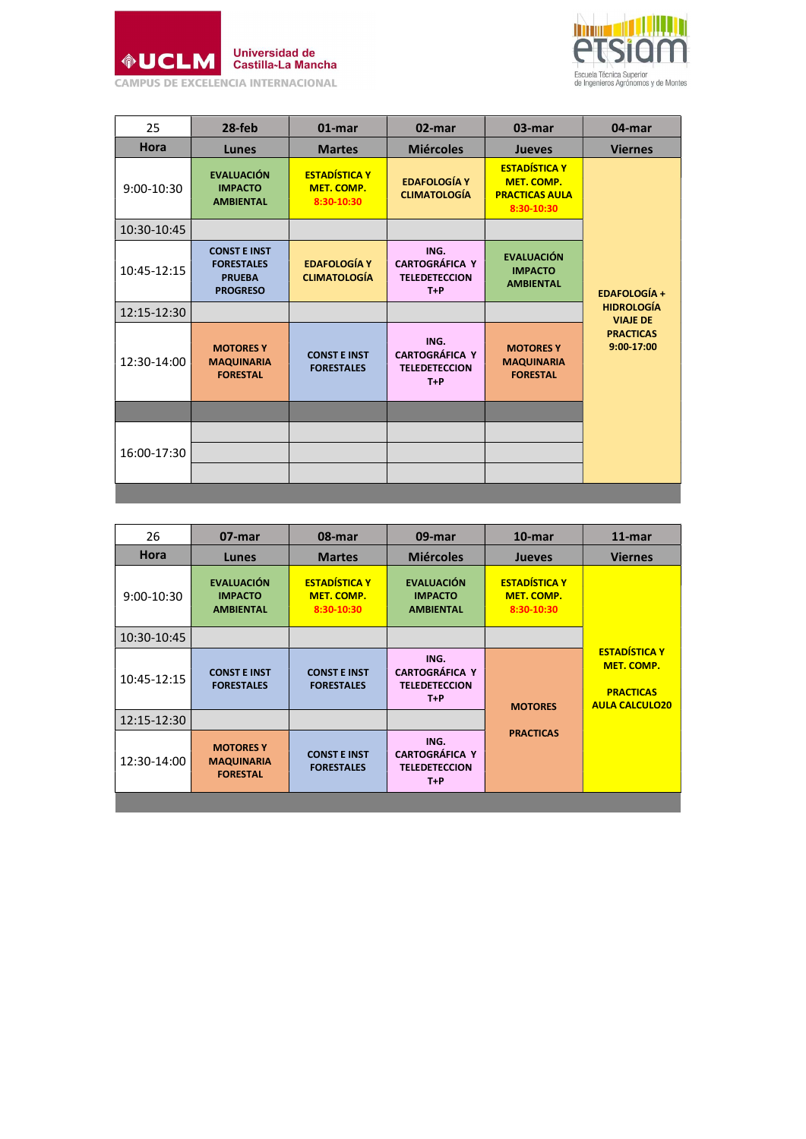



| 25          | $28$ -feb                                                                    | $01$ -mar                                        | 02-mar                                                         | 03-mar                                                                    | 04-mar                               |
|-------------|------------------------------------------------------------------------------|--------------------------------------------------|----------------------------------------------------------------|---------------------------------------------------------------------------|--------------------------------------|
| <b>Hora</b> | Lunes                                                                        | <b>Martes</b>                                    | <b>Miércoles</b>                                               | <b>Jueves</b>                                                             | <b>Viernes</b>                       |
| 9:00-10:30  | <b>EVALUACIÓN</b><br><b>IMPACTO</b><br><b>AMBIENTAL</b>                      | <b>ESTADÍSTICA Y</b><br>MET. COMP.<br>8:30-10:30 | <b>EDAFOLOGÍA Y</b><br><b>CLIMATOLOGÍA</b>                     | <b>ESTADÍSTICA Y</b><br>MET. COMP.<br><b>PRACTICAS AULA</b><br>8:30-10:30 |                                      |
| 10:30-10:45 |                                                                              |                                                  |                                                                |                                                                           |                                      |
| 10:45-12:15 | <b>CONST E INST</b><br><b>FORESTALES</b><br><b>PRUEBA</b><br><b>PROGRESO</b> | <b>EDAFOLOGÍA Y</b><br><b>CLIMATOLOGÍA</b>       | ING.<br><b>CARTOGRÁFICA Y</b><br><b>TELEDETECCION</b><br>$T+P$ | <b>EVALUACIÓN</b><br><b>IMPACTO</b><br><b>AMBIENTAL</b>                   | <b>EDAFOLOGÍA +</b>                  |
| 12:15-12:30 |                                                                              |                                                  |                                                                |                                                                           | <b>HIDROLOGÍA</b><br><b>VIAJE DE</b> |
| 12:30-14:00 | <b>MOTORES Y</b><br><b>MAQUINARIA</b><br><b>FORESTAL</b>                     | <b>CONST E INST</b><br><b>FORESTALES</b>         | ING.<br><b>CARTOGRÁFICA Y</b><br><b>TELEDETECCION</b><br>$T+P$ | <b>MOTORES Y</b><br><b>MAQUINARIA</b><br><b>FORESTAL</b>                  | <b>PRACTICAS</b><br>9:00-17:00       |
|             |                                                                              |                                                  |                                                                |                                                                           |                                      |
|             |                                                                              |                                                  |                                                                |                                                                           |                                      |
| 16:00-17:30 |                                                                              |                                                  |                                                                |                                                                           |                                      |
|             |                                                                              |                                                  |                                                                |                                                                           |                                      |
|             |                                                                              |                                                  |                                                                |                                                                           |                                      |

| 26           | 07-mar                                                   | 08-mar                                                  | 09-mar                                                         | $10$ -mar                                        | $11$ -mar                                                                              |
|--------------|----------------------------------------------------------|---------------------------------------------------------|----------------------------------------------------------------|--------------------------------------------------|----------------------------------------------------------------------------------------|
| <b>Hora</b>  | Lunes                                                    | <b>Martes</b>                                           | <b>Miércoles</b>                                               | <b>Jueves</b>                                    | <b>Viernes</b>                                                                         |
| $9:00-10:30$ | <b>EVALUACIÓN</b><br><b>IMPACTO</b><br><b>AMBIENTAL</b>  | <b>ESTADÍSTICA Y</b><br><b>MET. COMP.</b><br>8:30-10:30 | <b>EVALUACIÓN</b><br><b>IMPACTO</b><br><b>AMBIENTAL</b>        | <b>ESTADÍSTICA Y</b><br>MET. COMP.<br>8:30-10:30 |                                                                                        |
| 10:30-10:45  |                                                          |                                                         |                                                                |                                                  |                                                                                        |
| 10:45-12:15  | <b>CONST E INST</b><br><b>FORESTALES</b>                 | <b>CONST E INST</b><br><b>FORESTALES</b>                | ING.<br><b>CARTOGRÁFICA Y</b><br><b>TELEDETECCION</b><br>$T+P$ | <b>MOTORES</b>                                   | <b>ESTADÍSTICA Y</b><br><b>MET. COMP.</b><br><b>PRACTICAS</b><br><b>AULA CALCULO20</b> |
| 12:15-12:30  |                                                          |                                                         |                                                                |                                                  |                                                                                        |
| 12:30-14:00  | <b>MOTORES Y</b><br><b>MAQUINARIA</b><br><b>FORESTAL</b> | <b>CONST E INST</b><br><b>FORESTALES</b>                | ING.<br><b>CARTOGRÁFICA Y</b><br><b>TELEDETECCION</b><br>$T+P$ | <b>PRACTICAS</b>                                 |                                                                                        |
|              |                                                          |                                                         |                                                                |                                                  |                                                                                        |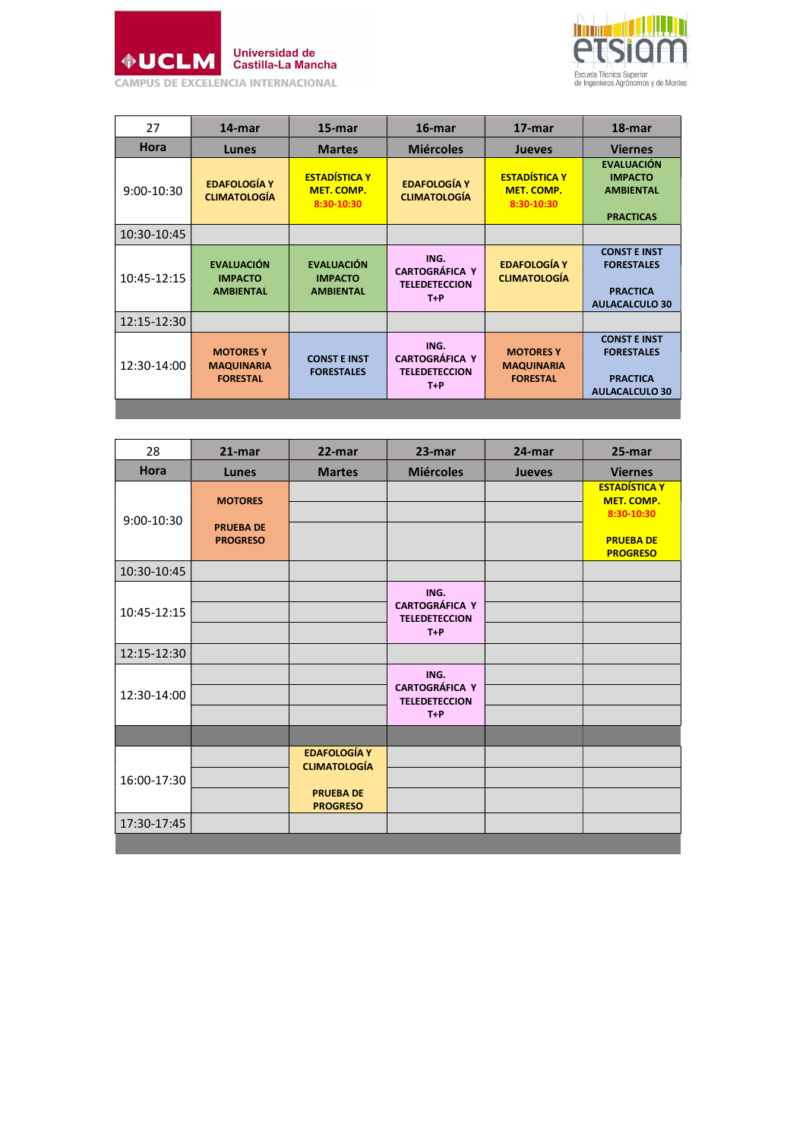



| 27          | 14-mar                                                   | 15-mar                                                  | $16$ -mar                                                      | 17-mar                                                   | 18-mar                                                                               |
|-------------|----------------------------------------------------------|---------------------------------------------------------|----------------------------------------------------------------|----------------------------------------------------------|--------------------------------------------------------------------------------------|
| <b>Hora</b> | Lunes                                                    | <b>Martes</b>                                           | <b>Miércoles</b>                                               | <b>Jueves</b>                                            | <b>Viernes</b>                                                                       |
| 9:00-10:30  | <b>EDAFOLOGÍA Y</b><br><b>CLIMATOLOGÍA</b>               | <b>ESTADÍSTICA Y</b><br><b>MET. COMP.</b><br>8:30-10:30 | <b>EDAFOLOGÍA Y</b><br><b>CLIMATOLOGÍA</b>                     | <b>ESTADÍSTICA Y</b><br><b>MET. COMP.</b><br>8:30-10:30  | <b>EVALUACIÓN</b><br><b>IMPACTO</b><br><b>AMBIENTAL</b><br><b>PRACTICAS</b>          |
| 10:30-10:45 |                                                          |                                                         |                                                                |                                                          |                                                                                      |
| 10:45-12:15 | <b>EVALUACIÓN</b><br><b>IMPACTO</b><br><b>AMBIENTAL</b>  | <b>EVALUACIÓN</b><br><b>IMPACTO</b><br><b>AMBIENTAL</b> | ING.<br><b>CARTOGRÁFICA Y</b><br><b>TELEDETECCION</b><br>$T+P$ | <b>EDAFOLOGÍA Y</b><br><b>CLIMATOLOGÍA</b>               | <b>CONST E INST</b><br><b>FORESTALES</b><br><b>PRACTICA</b><br><b>AULACALCULO 30</b> |
| 12:15-12:30 |                                                          |                                                         |                                                                |                                                          |                                                                                      |
| 12:30-14:00 | <b>MOTORES Y</b><br><b>MAQUINARIA</b><br><b>FORESTAL</b> | <b>CONST E INST</b><br><b>FORESTALES</b>                | ING.<br><b>CARTOGRÁFICA Y</b><br><b>TELEDETECCION</b><br>$T+P$ | <b>MOTORES Y</b><br><b>MAQUINARIA</b><br><b>FORESTAL</b> | <b>CONST E INST</b><br><b>FORESTALES</b><br><b>PRACTICA</b><br><b>AULACALCULO 30</b> |
|             |                                                          |                                                         |                                                                |                                                          |                                                                                      |

| 28          | $21$ -mar                                             | 22-mar                                                                            | 23-mar                                                         | 24-mar        | 25-mar                                                                                  |
|-------------|-------------------------------------------------------|-----------------------------------------------------------------------------------|----------------------------------------------------------------|---------------|-----------------------------------------------------------------------------------------|
| Hora        | Lunes                                                 | <b>Martes</b>                                                                     | <b>Miércoles</b>                                               | <b>Jueves</b> | <b>Viernes</b>                                                                          |
| 9:00-10:30  | <b>MOTORES</b><br><b>PRUEBA DE</b><br><b>PROGRESO</b> |                                                                                   |                                                                |               | <b>ESTADÍSTICA Y</b><br>MET. COMP.<br>8:30-10:30<br><b>PRUEBA DE</b><br><b>PROGRESO</b> |
| 10:30-10:45 |                                                       |                                                                                   |                                                                |               |                                                                                         |
| 10:45-12:15 |                                                       |                                                                                   | ING.<br><b>CARTOGRÁFICA Y</b><br><b>TELEDETECCION</b><br>$T+P$ |               |                                                                                         |
| 12:15-12:30 |                                                       |                                                                                   |                                                                |               |                                                                                         |
| 12:30-14:00 |                                                       |                                                                                   | ING.<br><b>CARTOGRÁFICA Y</b><br><b>TELEDETECCION</b><br>$T+P$ |               |                                                                                         |
|             |                                                       |                                                                                   |                                                                |               |                                                                                         |
| 16:00-17:30 |                                                       | <b>EDAFOLOGÍA Y</b><br><b>CLIMATOLOGÍA</b><br><b>PRUEBA DE</b><br><b>PROGRESO</b> |                                                                |               |                                                                                         |
| 17:30-17:45 |                                                       |                                                                                   |                                                                |               |                                                                                         |
|             |                                                       |                                                                                   |                                                                |               |                                                                                         |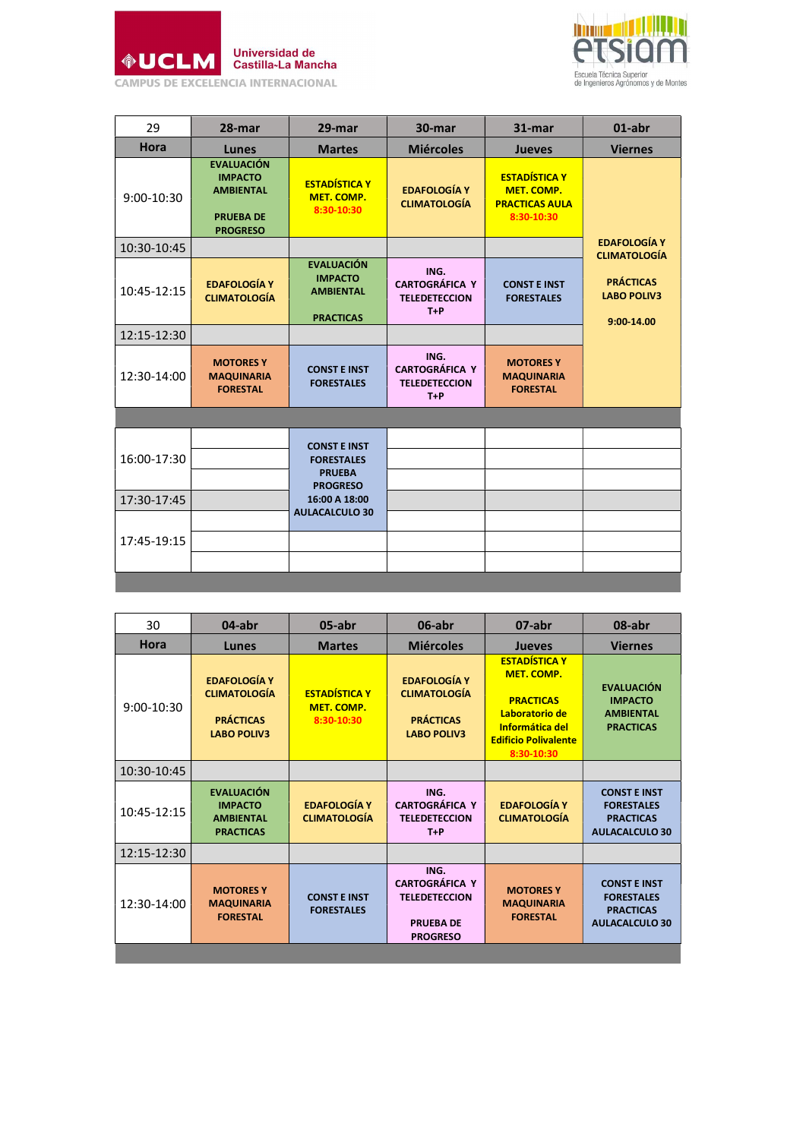



| 29           | 28-mar                                                                                         | 29-mar                                                                       | 30-mar                                                         | $31 - mar$                                                                | 01-abr                                               |
|--------------|------------------------------------------------------------------------------------------------|------------------------------------------------------------------------------|----------------------------------------------------------------|---------------------------------------------------------------------------|------------------------------------------------------|
| Hora         | Lunes                                                                                          | <b>Martes</b>                                                                | <b>Miércoles</b>                                               | <b>Jueves</b>                                                             | <b>Viernes</b>                                       |
| $9:00-10:30$ | <b>EVALUACIÓN</b><br><b>IMPACTO</b><br><b>AMBIENTAL</b><br><b>PRUEBA DE</b><br><b>PROGRESO</b> | <b>ESTADÍSTICA Y</b><br>MET. COMP.<br>8:30-10:30                             | <b>EDAFOLOGÍA Y</b><br><b>CLIMATOLOGÍA</b>                     | <b>ESTADÍSTICA Y</b><br>MET. COMP.<br><b>PRACTICAS AULA</b><br>8:30-10:30 |                                                      |
| 10:30-10:45  |                                                                                                |                                                                              |                                                                |                                                                           | <b>EDAFOLOGÍA Y</b><br><b>CLIMATOLOGÍA</b>           |
| 10:45-12:15  | <b>EDAFOLOGÍA Y</b><br><b>CLIMATOLOGÍA</b>                                                     | <b>EVALUACIÓN</b><br><b>IMPACTO</b><br><b>AMBIENTAL</b><br><b>PRACTICAS</b>  | ING.<br><b>CARTOGRÁFICA Y</b><br><b>TELEDETECCION</b><br>$T+P$ | <b>CONST E INST</b><br><b>FORESTALES</b>                                  | <b>PRÁCTICAS</b><br><b>LABO POLIV3</b><br>9:00-14.00 |
| 12:15-12:30  |                                                                                                |                                                                              |                                                                |                                                                           |                                                      |
| 12:30-14:00  | <b>MOTORES Y</b><br><b>MAQUINARIA</b><br><b>FORESTAL</b>                                       | <b>CONST E INST</b><br><b>FORESTALES</b>                                     | ING.<br><b>CARTOGRÁFICA Y</b><br><b>TELEDETECCION</b><br>$T+P$ | <b>MOTORES Y</b><br><b>MAQUINARIA</b><br><b>FORESTAL</b>                  |                                                      |
|              |                                                                                                |                                                                              |                                                                |                                                                           |                                                      |
| 16:00-17:30  |                                                                                                | <b>CONST E INST</b><br><b>FORESTALES</b><br><b>PRUEBA</b><br><b>PROGRESO</b> |                                                                |                                                                           |                                                      |
| 17:30-17:45  |                                                                                                | 16:00 A 18:00                                                                |                                                                |                                                                           |                                                      |
| 17:45-19:15  |                                                                                                | <b>AULACALCULO 30</b>                                                        |                                                                |                                                                           |                                                      |

| 30          | 04-abr                                                                               | 05-abr                                                  | 06-abr                                                                                       | 07-abr                                                                                                                                                 | 08-abr                                                                                |
|-------------|--------------------------------------------------------------------------------------|---------------------------------------------------------|----------------------------------------------------------------------------------------------|--------------------------------------------------------------------------------------------------------------------------------------------------------|---------------------------------------------------------------------------------------|
| <b>Hora</b> | Lunes                                                                                | <b>Martes</b>                                           | <b>Miércoles</b>                                                                             | <b>Jueves</b>                                                                                                                                          | <b>Viernes</b>                                                                        |
| 9:00-10:30  | <b>EDAFOLOGÍA Y</b><br><b>CLIMATOLOGÍA</b><br><b>PRÁCTICAS</b><br><b>LABO POLIV3</b> | <b>ESTADÍSTICA Y</b><br><b>MET. COMP.</b><br>8:30-10:30 | <b>EDAFOLOGÍA Y</b><br><b>CLIMATOLOGÍA</b><br><b>PRÁCTICAS</b><br><b>LABO POLIV3</b>         | <b>ESTADÍSTICA Y</b><br><b>MET. COMP.</b><br><b>PRACTICAS</b><br>Laboratorio de<br><b>Informática del</b><br><b>Edificio Polivalente</b><br>8:30-10:30 | <b>EVALUACIÓN</b><br><b>IMPACTO</b><br><b>AMBIFNTAL</b><br><b>PRACTICAS</b>           |
| 10:30-10:45 |                                                                                      |                                                         |                                                                                              |                                                                                                                                                        |                                                                                       |
| 10:45-12:15 | <b>EVALUACIÓN</b><br><b>IMPACTO</b><br><b>AMBIENTAL</b><br><b>PRACTICAS</b>          | <b>EDAFOLOGÍA Y</b><br><b>CLIMATOLOGÍA</b>              | ING.<br><b>CARTOGRÁFICA Y</b><br><b>TELEDETECCION</b><br>$T+P$                               | <b>EDAFOLOGÍA Y</b><br><b>CLIMATOLOGÍA</b>                                                                                                             | <b>CONST E INST</b><br><b>FORESTALES</b><br><b>PRACTICAS</b><br><b>AULACALCULO 30</b> |
| 12:15-12:30 |                                                                                      |                                                         |                                                                                              |                                                                                                                                                        |                                                                                       |
| 12:30-14:00 | <b>MOTORES Y</b><br><b>MAQUINARIA</b><br><b>FORESTAL</b>                             | <b>CONST E INST</b><br><b>FORESTALES</b>                | ING.<br><b>CARTOGRÁFICA Y</b><br><b>TELEDETECCION</b><br><b>PRUEBA DE</b><br><b>PROGRESO</b> | <b>MOTORES Y</b><br><b>MAQUINARIA</b><br><b>FORESTAL</b>                                                                                               | <b>CONST E INST</b><br><b>FORESTALES</b><br><b>PRACTICAS</b><br><b>AULACALCULO 30</b> |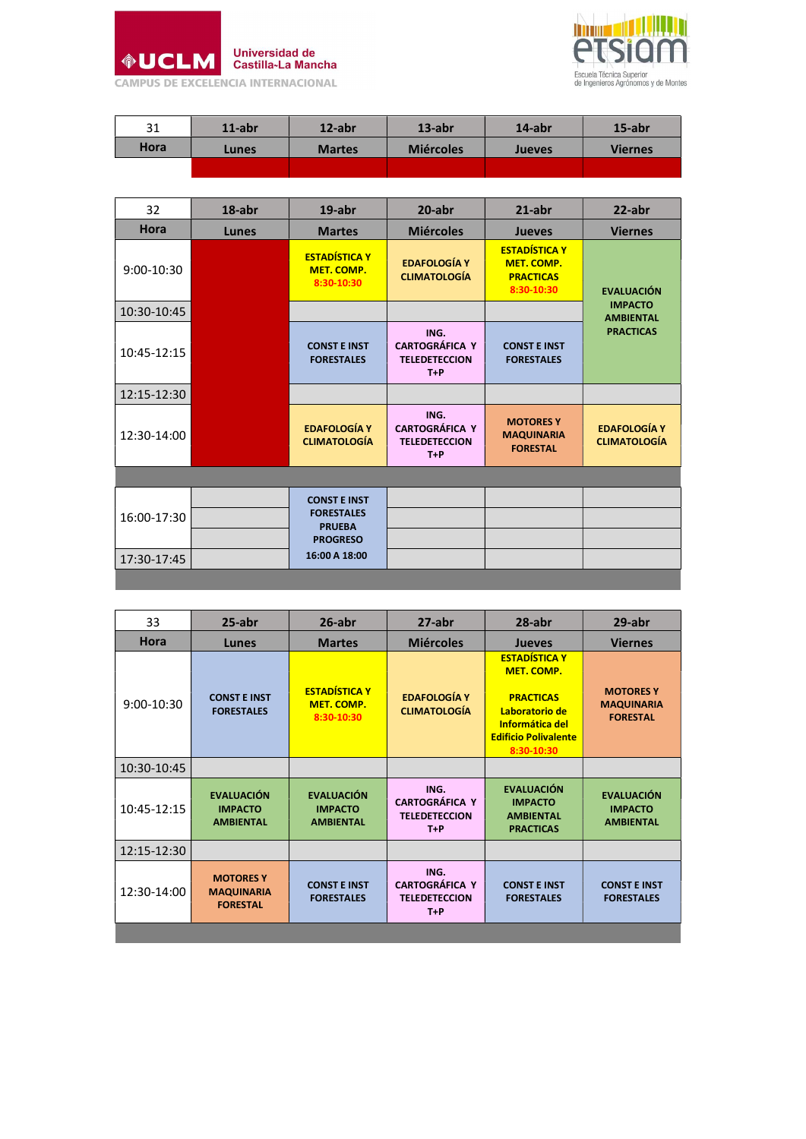



| 31          | $11$ -abr | 12-abr        | $13$ -abr        | 14-abr        | 15-abr         |
|-------------|-----------|---------------|------------------|---------------|----------------|
| <b>Hora</b> | Lunes     | <b>Martes</b> | <b>Miércoles</b> | <b>Jueves</b> | <b>Viernes</b> |
|             |           |               |                  |               |                |

| 32           | $18$ -abr | $19$ -abr                                                                                     | $20$ -abr                                                      | $21$ -abr                                                            | $22$ -abr                                  |
|--------------|-----------|-----------------------------------------------------------------------------------------------|----------------------------------------------------------------|----------------------------------------------------------------------|--------------------------------------------|
| Hora         | Lunes     | <b>Martes</b>                                                                                 | <b>Miércoles</b>                                               | <b>Jueves</b>                                                        | <b>Viernes</b>                             |
| $9:00-10:30$ |           | <b>ESTADÍSTICA Y</b><br>MET. COMP.<br>8:30-10:30                                              | <b>EDAFOLOGÍA Y</b><br><b>CLIMATOLOGÍA</b>                     | <b>ESTADÍSTICA Y</b><br>MET. COMP.<br><b>PRACTICAS</b><br>8:30-10:30 | <b>EVALUACIÓN</b>                          |
| 10:30-10:45  |           |                                                                                               |                                                                |                                                                      | <b>IMPACTO</b><br><b>AMBIENTAL</b>         |
| 10:45-12:15  |           | <b>CONST E INST</b><br><b>FORESTALES</b>                                                      | ING.<br><b>CARTOGRÁFICA Y</b><br><b>TELEDETECCION</b><br>$T+P$ | <b>CONST E INST</b><br><b>FORESTALES</b>                             | <b>PRACTICAS</b>                           |
| 12:15-12:30  |           |                                                                                               |                                                                |                                                                      |                                            |
| 12:30-14:00  |           | <b>EDAFOLOGÍA Y</b><br><b>CLIMATOLOGÍA</b>                                                    | ING.<br><b>CARTOGRÁFICA Y</b><br><b>TELEDETECCION</b><br>$T+P$ | <b>MOTORES Y</b><br><b>MAQUINARIA</b><br><b>FORESTAL</b>             | <b>EDAFOLOGÍA Y</b><br><b>CLIMATOLOGÍA</b> |
|              |           |                                                                                               |                                                                |                                                                      |                                            |
| 16:00-17:30  |           | <b>CONST E INST</b><br><b>FORESTALES</b><br><b>PRUEBA</b><br><b>PROGRESO</b><br>16:00 A 18:00 |                                                                |                                                                      |                                            |
| 17:30-17:45  |           |                                                                                               |                                                                |                                                                      |                                            |

| 33          | $25$ -abr                                                | $26$ -abr                                               | $27$ -abr                                                      | $28$ -abr                                                                                                                                       | 29-abr                                                   |
|-------------|----------------------------------------------------------|---------------------------------------------------------|----------------------------------------------------------------|-------------------------------------------------------------------------------------------------------------------------------------------------|----------------------------------------------------------|
| <b>Hora</b> | Lunes                                                    | <b>Martes</b>                                           | <b>Miércoles</b>                                               | <b>Jueves</b>                                                                                                                                   | <b>Viernes</b>                                           |
| 9:00-10:30  | <b>CONST F INST</b><br><b>FORESTALES</b>                 | <b>ESTADÍSTICA Y</b><br><b>MET. COMP.</b><br>8:30-10:30 | <b>EDAFOLOGÍA Y</b><br><b>CLIMATOLOGÍA</b>                     | <b>ESTADÍSTICA Y</b><br><b>MET. COMP.</b><br><b>PRACTICAS</b><br>Laboratorio de<br>Informática del<br><b>Edificio Polivalente</b><br>8:30-10:30 | <b>MOTORES Y</b><br><b>MAQUINARIA</b><br><b>FORESTAL</b> |
| 10:30-10:45 |                                                          |                                                         |                                                                |                                                                                                                                                 |                                                          |
| 10:45-12:15 | <b>EVALUACIÓN</b><br><b>IMPACTO</b><br><b>AMBIENTAL</b>  | <b>EVALUACIÓN</b><br><b>IMPACTO</b><br><b>AMBIENTAL</b> | ING.<br><b>CARTOGRÁFICA Y</b><br><b>TELEDETECCION</b><br>$T+P$ | <b>EVALUACIÓN</b><br><b>IMPACTO</b><br><b>AMBIENTAL</b><br><b>PRACTICAS</b>                                                                     | <b>EVALUACIÓN</b><br><b>IMPACTO</b><br><b>AMBIENTAL</b>  |
| 12:15-12:30 |                                                          |                                                         |                                                                |                                                                                                                                                 |                                                          |
| 12:30-14:00 | <b>MOTORES Y</b><br><b>MAQUINARIA</b><br><b>FORESTAL</b> | <b>CONST E INST</b><br><b>FORESTALES</b>                | ING.<br><b>CARTOGRÁFICA Y</b><br><b>TELEDETECCION</b><br>$T+P$ | <b>CONST E INST</b><br><b>FORESTALES</b>                                                                                                        | <b>CONST E INST</b><br><b>FORESTALES</b>                 |
|             |                                                          |                                                         |                                                                |                                                                                                                                                 |                                                          |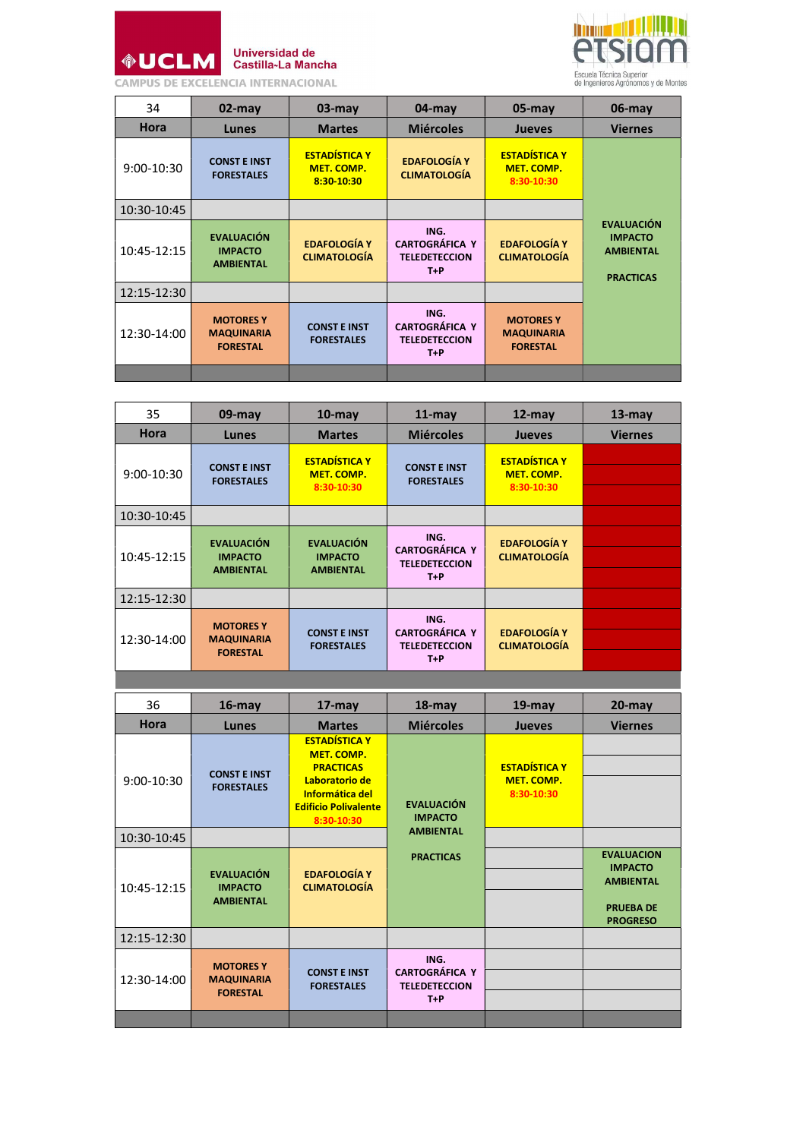

Universidad de<br>Castilla~La Mancha

**CAMPUS DE EXCELENCIA INTERNACIONAL** 



| 34          | $02$ -may                                                | $03$ -may                                               | $04$ -may                                                      | $05$ -may                                                | $06$ -may                                                                   |
|-------------|----------------------------------------------------------|---------------------------------------------------------|----------------------------------------------------------------|----------------------------------------------------------|-----------------------------------------------------------------------------|
| <b>Hora</b> | Lunes                                                    | <b>Martes</b>                                           | <b>Miércoles</b>                                               | <b>Jueves</b>                                            | <b>Viernes</b>                                                              |
| 9:00-10:30  | <b>CONST E INST</b><br><b>FORESTALES</b>                 | <b>ESTADÍSTICA Y</b><br><b>MET. COMP.</b><br>8:30-10:30 | <b>EDAFOLOGÍA Y</b><br><b>CLIMATOLOGÍA</b>                     | <b>ESTADÍSTICA Y</b><br><b>MET. COMP.</b><br>8:30-10:30  |                                                                             |
| 10:30-10:45 |                                                          |                                                         |                                                                |                                                          |                                                                             |
| 10:45-12:15 | <b>EVALUACIÓN</b><br><b>IMPACTO</b><br><b>AMBIENTAL</b>  | <b>EDAFOLOGÍA Y</b><br><b>CLIMATOLOGÍA</b>              | ING.<br><b>CARTOGRÁFICA Y</b><br><b>TELEDETECCION</b><br>$T+P$ | <b>EDAFOLOGÍA Y</b><br><b>CLIMATOLOGÍA</b>               | <b>EVALUACIÓN</b><br><b>IMPACTO</b><br><b>AMBIENTAL</b><br><b>PRACTICAS</b> |
| 12:15-12:30 |                                                          |                                                         |                                                                |                                                          |                                                                             |
| 12:30-14:00 | <b>MOTORES Y</b><br><b>MAQUINARIA</b><br><b>FORESTAL</b> | <b>CONST E INST</b><br><b>FORESTALES</b>                | ING.<br><b>CARTOGRÁFICA Y</b><br><b>TELEDETECCION</b><br>$T+P$ | <b>MOTORES Y</b><br><b>MAQUINARIA</b><br><b>FORESTAL</b> |                                                                             |
|             |                                                          |                                                         |                                                                |                                                          |                                                                             |

| 35          | $09$ -may                                                | $10$ -may                                               | $11$ -may                                                      | $12$ -may                                               | $13$ -may      |
|-------------|----------------------------------------------------------|---------------------------------------------------------|----------------------------------------------------------------|---------------------------------------------------------|----------------|
| <b>Hora</b> | Lunes                                                    | <b>Martes</b>                                           | <b>Miércoles</b>                                               | <b>Jueves</b>                                           | <b>Viernes</b> |
| 9:00-10:30  | <b>CONST E INST</b><br><b>FORESTALES</b>                 | <b>FSTADÍSTICA Y</b><br><b>MET. COMP.</b><br>8:30-10:30 | <b>CONST E INST</b><br><b>FORESTALES</b>                       | <b>FSTADÍSTICA Y</b><br><b>MET. COMP.</b><br>8:30-10:30 |                |
| 10:30-10:45 |                                                          |                                                         |                                                                |                                                         |                |
| 10:45-12:15 | <b>EVALUACIÓN</b><br><b>IMPACTO</b><br><b>AMBIENTAL</b>  | <b>EVALUACIÓN</b><br><b>IMPACTO</b><br><b>AMBIENTAL</b> | ING.<br><b>CARTOGRÁFICA Y</b><br><b>TELEDETECCION</b><br>$T+P$ | <b>EDAFOLOGÍA Y</b><br><b>CLIMATOLOGÍA</b>              |                |
| 12:15-12:30 |                                                          |                                                         |                                                                |                                                         |                |
| 12:30-14:00 | <b>MOTORES Y</b><br><b>MAQUINARIA</b><br><b>FORESTAL</b> | <b>CONST E INST</b><br><b>FORESTALES</b>                | ING.<br><b>CARTOGRÁFICA Y</b><br><b>TELEDETECCION</b><br>$T+P$ | <b>EDAFOLOGÍA Y</b><br><b>CLIMATOLOGÍA</b>              |                |

| 36          | $16$ -may                                                | $17$ -may                                                                                                                                              | $18$ -may                                                      | $19$ -may                                        | $20$ -may                                                                                      |
|-------------|----------------------------------------------------------|--------------------------------------------------------------------------------------------------------------------------------------------------------|----------------------------------------------------------------|--------------------------------------------------|------------------------------------------------------------------------------------------------|
| <b>Hora</b> | Lunes                                                    | <b>Martes</b>                                                                                                                                          | <b>Miércoles</b>                                               | <b>Jueves</b>                                    | <b>Viernes</b>                                                                                 |
| 9:00-10:30  | <b>CONST E INST</b><br><b>FORESTALES</b>                 | <b>ESTADÍSTICA Y</b><br><b>MET. COMP.</b><br><b>PRACTICAS</b><br>Laboratorio de<br><b>Informática del</b><br><b>Edificio Polivalente</b><br>8:30-10:30 | <b>EVALUACIÓN</b><br><b>IMPACTO</b>                            | <b>ESTADÍSTICA Y</b><br>MET. COMP.<br>8:30-10:30 |                                                                                                |
| 10:30-10:45 |                                                          |                                                                                                                                                        | <b>AMBIENTAL</b>                                               |                                                  |                                                                                                |
| 10:45-12:15 | <b>EVALUACIÓN</b><br><b>IMPACTO</b><br><b>AMBIENTAL</b>  | <b>EDAFOLOGÍA Y</b><br><b>CLIMATOLOGÍA</b>                                                                                                             | <b>PRACTICAS</b>                                               |                                                  | <b>EVALUACION</b><br><b>IMPACTO</b><br><b>AMBIENTAL</b><br><b>PRUEBA DE</b><br><b>PROGRESO</b> |
| 12:15-12:30 |                                                          |                                                                                                                                                        |                                                                |                                                  |                                                                                                |
| 12:30-14:00 | <b>MOTORES Y</b><br><b>MAQUINARIA</b><br><b>FORESTAL</b> | <b>CONST E INST</b><br><b>FORESTALES</b>                                                                                                               | ING.<br><b>CARTOGRÁFICA Y</b><br><b>TELEDETECCION</b><br>$T+P$ |                                                  |                                                                                                |
|             |                                                          |                                                                                                                                                        |                                                                |                                                  |                                                                                                |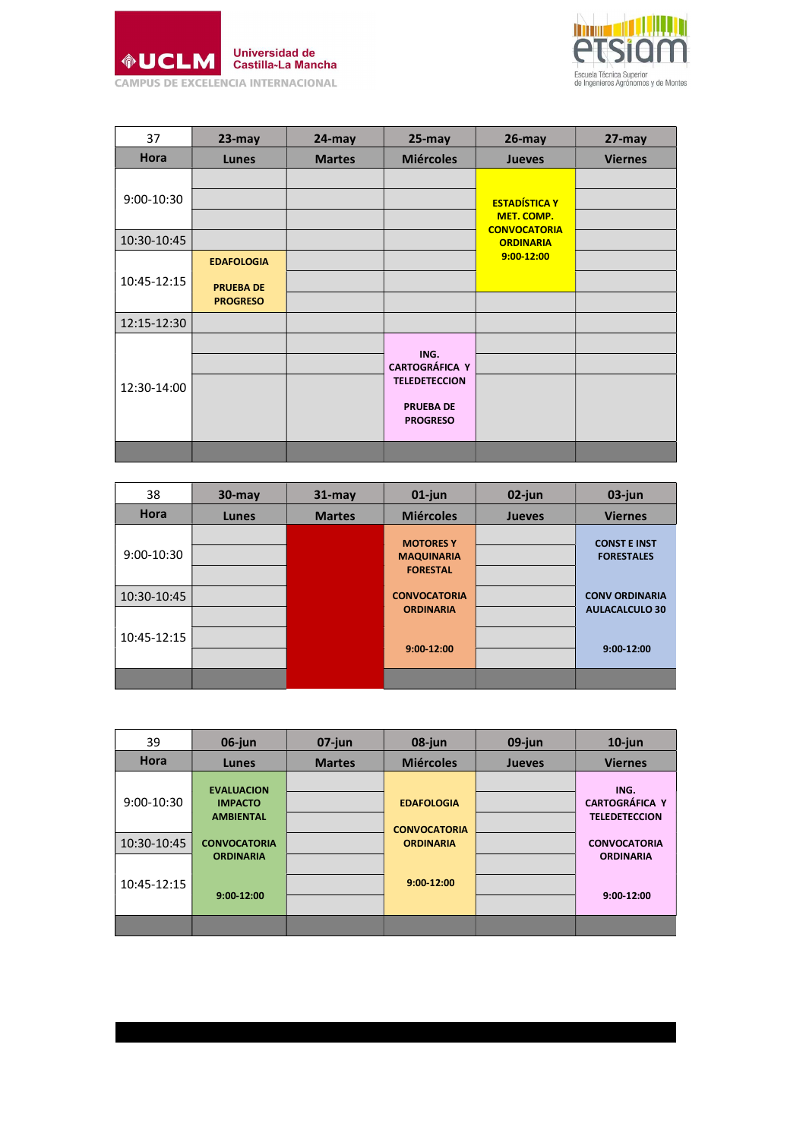



| 37          | $23$ -may         | $24$ -may     | $25 - may$                    | $26$ -may                               | 27-may         |
|-------------|-------------------|---------------|-------------------------------|-----------------------------------------|----------------|
| Hora        | <b>Lunes</b>      | <b>Martes</b> | <b>Miércoles</b>              | <b>Jueves</b>                           | <b>Viernes</b> |
|             |                   |               |                               |                                         |                |
| 9:00-10:30  |                   |               |                               | <b>ESTADÍSTICA Y</b>                    |                |
|             |                   |               |                               | MET. COMP.                              |                |
| 10:30-10:45 |                   |               |                               | <b>CONVOCATORIA</b><br><b>ORDINARIA</b> |                |
|             | <b>EDAFOLOGIA</b> |               |                               | $9:00 - 12:00$                          |                |
| 10:45-12:15 | <b>PRUEBA DE</b>  |               |                               |                                         |                |
|             | <b>PROGRESO</b>   |               |                               |                                         |                |
| 12:15-12:30 |                   |               |                               |                                         |                |
|             |                   |               |                               |                                         |                |
|             |                   |               | ING.<br><b>CARTOGRÁFICA Y</b> |                                         |                |
| 12:30-14:00 |                   |               | <b>TELEDETECCION</b>          |                                         |                |
|             |                   |               | <b>PRUEBA DE</b>              |                                         |                |
|             |                   |               | <b>PROGRESO</b>               |                                         |                |
|             |                   |               |                               |                                         |                |

| 38          | $30$ -may | $31 -$ may    | $01$ -jun                                                | 02-jun        | 03-jun                                   |
|-------------|-----------|---------------|----------------------------------------------------------|---------------|------------------------------------------|
| Hora        | Lunes     | <b>Martes</b> | <b>Miércoles</b>                                         | <b>Jueves</b> | <b>Viernes</b>                           |
| 9:00-10:30  |           |               | <b>MOTORES Y</b><br><b>MAQUINARIA</b><br><b>FORESTAL</b> |               | <b>CONST E INST</b><br><b>FORESTALES</b> |
| 10:30-10:45 |           |               | <b>CONVOCATORIA</b>                                      |               | <b>CONV ORDINARIA</b>                    |
| 10:45-12:15 |           |               | <b>ORDINARIA</b><br>9:00-12:00                           |               | <b>AULACALCULO 30</b><br>9:00-12:00      |
|             |           |               |                                                          |               |                                          |

| 39          | 06-jun                                                  | $07$ -jun     | 08-jun                                  | 09-jun        | $10$ -jun                                             |
|-------------|---------------------------------------------------------|---------------|-----------------------------------------|---------------|-------------------------------------------------------|
| Hora        | Lunes                                                   | <b>Martes</b> | <b>Miércoles</b>                        | <b>Jueves</b> | <b>Viernes</b>                                        |
| 9:00-10:30  | <b>EVALUACION</b><br><b>IMPACTO</b><br><b>AMBIENTAL</b> |               | <b>EDAFOLOGIA</b>                       |               | ING.<br><b>CARTOGRÁFICA Y</b><br><b>TELEDETECCION</b> |
| 10:30-10:45 | <b>CONVOCATORIA</b>                                     |               | <b>CONVOCATORIA</b><br><b>ORDINARIA</b> |               | <b>CONVOCATORIA</b>                                   |
|             | <b>ORDINARIA</b>                                        |               |                                         |               | <b>ORDINARIA</b>                                      |
| 10:45-12:15 | 9:00-12:00                                              |               | 9:00-12:00                              |               | 9:00-12:00                                            |
|             |                                                         |               |                                         |               |                                                       |
|             |                                                         |               |                                         |               |                                                       |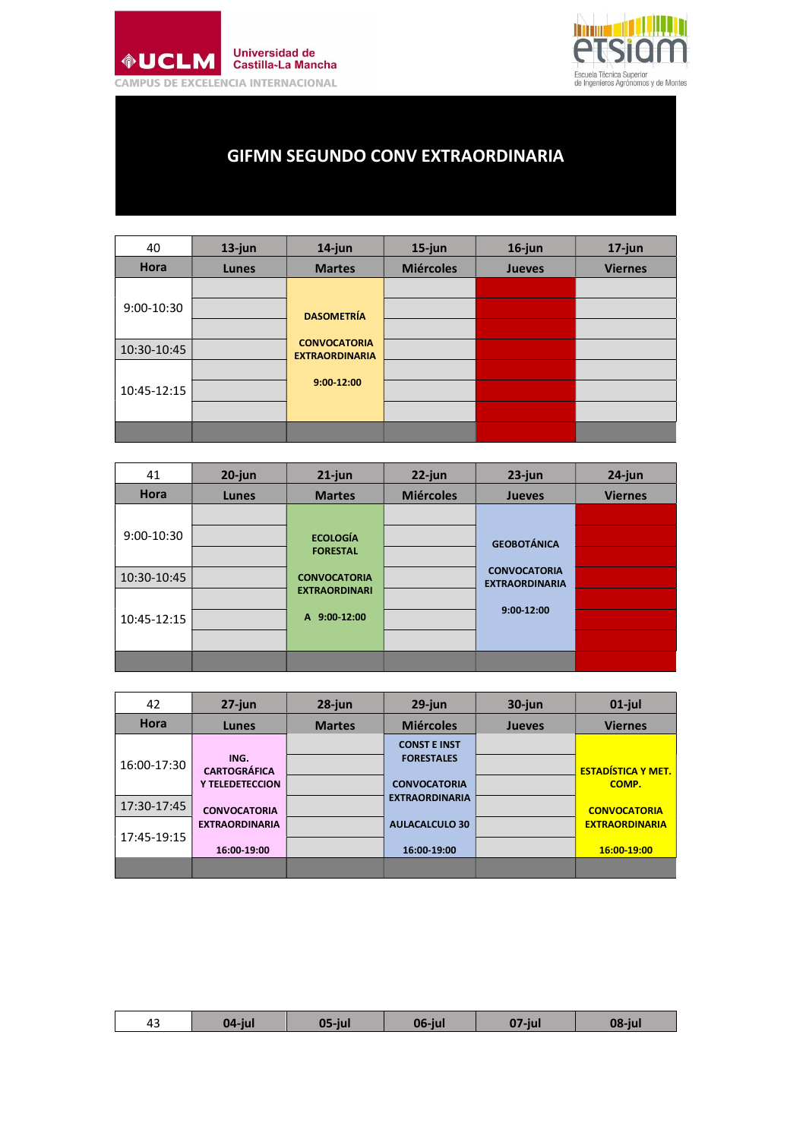



## GIFMN SEGUNDO CONV EXTRAORDINARIA

| 40          | $13$ -jun | $14$ -jun                                    | $15$ -jun        | $16$ -jun     | $17$ -jun      |
|-------------|-----------|----------------------------------------------|------------------|---------------|----------------|
| Hora        | Lunes     | <b>Martes</b>                                | <b>Miércoles</b> | <b>Jueves</b> | <b>Viernes</b> |
|             |           |                                              |                  |               |                |
| 9:00-10:30  |           | <b>DASOMETRÍA</b>                            |                  |               |                |
|             |           |                                              |                  |               |                |
| 10:30-10:45 |           | <b>CONVOCATORIA</b><br><b>EXTRAORDINARIA</b> |                  |               |                |
|             |           |                                              |                  |               |                |
| 10:45-12:15 |           | $9:00 - 12:00$                               |                  |               |                |
|             |           |                                              |                  |               |                |
|             |           |                                              |                  |               |                |

| 41          | $20$ -jun | $21$ -jun            | $22$ -jun        | $23$ -jun                                    | $24$ -jun      |
|-------------|-----------|----------------------|------------------|----------------------------------------------|----------------|
| Hora        | Lunes     | <b>Martes</b>        | <b>Miércoles</b> | <b>Jueves</b>                                | <b>Viernes</b> |
|             |           |                      |                  |                                              |                |
| 9:00-10:30  |           | <b>ECOLOGÍA</b>      |                  | <b>GEOBOTÁNICA</b>                           |                |
|             |           | <b>FORESTAL</b>      |                  |                                              |                |
| 10:30-10:45 |           | <b>CONVOCATORIA</b>  |                  | <b>CONVOCATORIA</b><br><b>EXTRAORDINARIA</b> |                |
|             |           | <b>EXTRAORDINARI</b> |                  |                                              |                |
| 10:45-12:15 |           | A 9:00-12:00         |                  | 9:00-12:00                                   |                |
|             |           |                      |                  |                                              |                |
|             |           |                      |                  |                                              |                |

| 42          | $27$ -jun                   | $28$ -jun     | $29$ -jun             | $30$ -jun     | $01$ -jul                 |
|-------------|-----------------------------|---------------|-----------------------|---------------|---------------------------|
| Hora        | Lunes                       | <b>Martes</b> | <b>Miércoles</b>      | <b>Jueves</b> | <b>Viernes</b>            |
|             |                             |               | <b>CONST E INST</b>   |               |                           |
| 16:00-17:30 | ING.<br><b>CARTOGRÁFICA</b> |               | <b>FORESTALES</b>     |               | <b>ESTADÍSTICA Y MET.</b> |
|             | <b>Y TELEDETECCION</b>      |               | <b>CONVOCATORIA</b>   |               | COMP.                     |
| 17:30-17:45 | <b>CONVOCATORIA</b>         |               | <b>EXTRAORDINARIA</b> |               | <b>CONVOCATORIA</b>       |
|             | <b>EXTRAORDINARIA</b>       |               | <b>AULACALCULO 30</b> |               | <b>EXTRAORDINARIA</b>     |
| 17:45-19:15 | 16:00 19:00                 |               | 16:00 19:00           |               | 16:00-19:00               |
|             |                             |               |                       |               |                           |

|  | $\ddot{\phantom{1}}$<br>43 |  | iı. | 06-iul | $-i$ u | 08-jul |
|--|----------------------------|--|-----|--------|--------|--------|
|--|----------------------------|--|-----|--------|--------|--------|